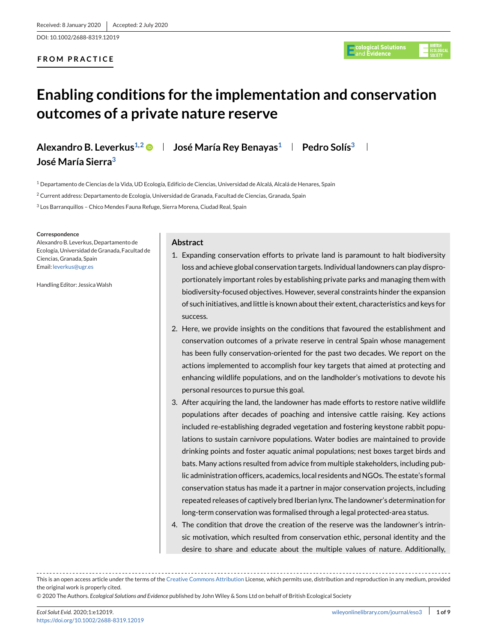DOI: 10.1002/2688-8319.12019

# **FROM PRACTICE**



# **Enabling conditions for the implementation and conservation outcomes of a private nature reserve**

**Alexandro B. Leverkus<sup>1,2</sup> • José María Rey Benayas<sup>1</sup> Pedro Solís<sup>3</sup>** 

**José María Sierra3**

 $1$  Departamento de Ciencias de la Vida, UD Ecología, Edificio de Ciencias, Universidad de Alcalá, Alcalá de Henares, Spain

<sup>2</sup> Current address: Departamento de Ecología, Universidad de Granada, Facultad de Ciencias, Granada, Spain

<sup>3</sup> Los Barranquillos – Chico Mendes Fauna Refuge, Sierra Morena, Ciudad Real, Spain

#### **Correspondence**

Alexandro B. Leverkus, Departamento de Ecología, Universidad de Granada, Facultad de Ciencias, Granada, Spain Email: [leverkus@ugr.es](mailto:leverkus@ugr.es)

Handling Editor: JessicaWalsh

# **Abstract**

- 1. Expanding conservation efforts to private land is paramount to halt biodiversity loss and achieve global conservation targets. Individual landowners can play disproportionately important roles by establishing private parks and managing them with biodiversity-focused objectives. However, several constraints hinder the expansion of such initiatives, and little is known about their extent, characteristics and keys for success.
- 2. Here, we provide insights on the conditions that favoured the establishment and conservation outcomes of a private reserve in central Spain whose management has been fully conservation-oriented for the past two decades. We report on the actions implemented to accomplish four key targets that aimed at protecting and enhancing wildlife populations, and on the landholder's motivations to devote his personal resources to pursue this goal.
- 3. After acquiring the land, the landowner has made efforts to restore native wildlife populations after decades of poaching and intensive cattle raising. Key actions included re-establishing degraded vegetation and fostering keystone rabbit populations to sustain carnivore populations. Water bodies are maintained to provide drinking points and foster aquatic animal populations; nest boxes target birds and bats. Many actions resulted from advice from multiple stakeholders, including public administration officers, academics, local residents and NGOs. The estate's formal conservation status has made it a partner in major conservation projects, including repeated releases of captively bred Iberian lynx. The landowner's determination for long-term conservation was formalised through a legal protected-area status.
- 4. The condition that drove the creation of the reserve was the landowner's intrinsic motivation, which resulted from conservation ethic, personal identity and the desire to share and educate about the multiple values of nature. Additionally,

© 2020 The Authors. *Ecological Solutions and Evidence* published by John Wiley & Sons Ltd on behalf of British Ecological Society

This is an open access article under the terms of the [Creative Commons Attribution](http://creativecommons.org/licenses/by/4.0/) License, which permits use, distribution and reproduction in any medium, provided the original work is properly cited.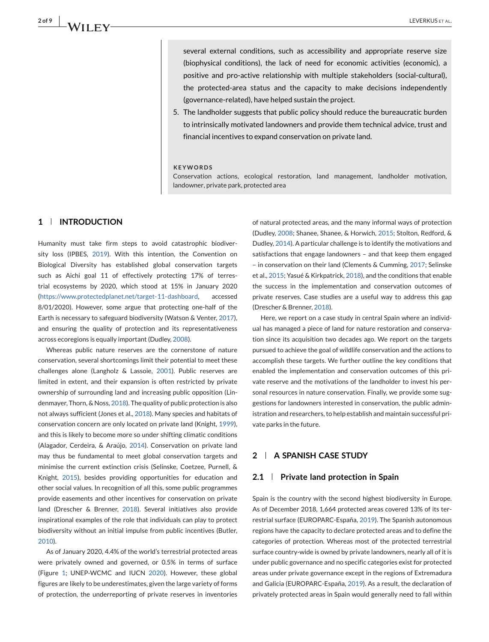several external conditions, such as accessibility and appropriate reserve size (biophysical conditions), the lack of need for economic activities (economic), a positive and pro-active relationship with multiple stakeholders (social-cultural), the protected-area status and the capacity to make decisions independently (governance-related), have helped sustain the project.

5. The landholder suggests that public policy should reduce the bureaucratic burden to intrinsically motivated landowners and provide them technical advice, trust and financial incentives to expand conservation on private land.

#### **KEYWORDS**

Conservation actions, ecological restoration, land management, landholder motivation, landowner, private park, protected area

# **1 INTRODUCTION**

Humanity must take firm steps to avoid catastrophic biodiversity loss (IPBES, 2019). With this intention, the Convention on Biological Diversity has established global conservation targets such as Aichi goal 11 of effectively protecting 17% of terrestrial ecosystems by 2020, which stood at 15% in January 2020 [\(https://www.protectedplanet.net/target-11-dashboard,](https://www.protectedplanet.net/target-11-dashboard) accessed 8/01/2020). However, some argue that protecting one-half of the Earth is necessary to safeguard biodiversity (Watson & Venter, 2017), and ensuring the quality of protection and its representativeness across ecoregions is equally important (Dudley, 2008).

Whereas public nature reserves are the cornerstone of nature conservation, several shortcomings limit their potential to meet these challenges alone (Langholz & Lassoie, 2001). Public reserves are limited in extent, and their expansion is often restricted by private ownership of surrounding land and increasing public opposition (Lindenmayer, Thorn, & Noss, 2018). The quality of public protection is also not always sufficient (Jones et al., 2018). Many species and habitats of conservation concern are only located on private land (Knight, 1999), and this is likely to become more so under shifting climatic conditions (Alagador, Cerdeira, & Araújo, 2014). Conservation on private land may thus be fundamental to meet global conservation targets and minimise the current extinction crisis (Selinske, Coetzee, Purnell, & Knight, 2015), besides providing opportunities for education and other social values. In recognition of all this, some public programmes provide easements and other incentives for conservation on private land (Drescher & Brenner, 2018). Several initiatives also provide inspirational examples of the role that individuals can play to protect biodiversity without an initial impulse from public incentives (Butler, 2010).

As of January 2020, 4.4% of the world's terrestrial protected areas were privately owned and governed, or 0.5% in terms of surface (Figure [1;](#page-2-0) UNEP-WCMC and IUCN 2020). However, these global figures are likely to be underestimates, given the large variety of forms of protection, the underreporting of private reserves in inventories of natural protected areas, and the many informal ways of protection (Dudley, 2008; Shanee, Shanee, & Horwich, 2015; Stolton, Redford, & Dudley, 2014). A particular challenge is to identify the motivations and satisfactions that engage landowners – and that keep them engaged – in conservation on their land (Clements & Cumming, 2017; Selinske et al., 2015; Yasué & Kirkpatrick, 2018), and the conditions that enable the success in the implementation and conservation outcomes of private reserves. Case studies are a useful way to address this gap (Drescher & Brenner, 2018).

Here, we report on a case study in central Spain where an individual has managed a piece of land for nature restoration and conservation since its acquisition two decades ago. We report on the targets pursued to achieve the goal of wildlife conservation and the actions to accomplish these targets. We further outline the key conditions that enabled the implementation and conservation outcomes of this private reserve and the motivations of the landholder to invest his personal resources in nature conservation. Finally, we provide some suggestions for landowners interested in conservation, the public administration and researchers, to help establish and maintain successful private parks in the future.

## **2 A SPANISH CASE STUDY**

## **2.1 Private land protection in Spain**

Spain is the country with the second highest biodiversity in Europe. As of December 2018, 1,664 protected areas covered 13% of its terrestrial surface (EUROPARC-España, 2019). The Spanish autonomous regions have the capacity to declare protected areas and to define the categories of protection. Whereas most of the protected terrestrial surface country-wide is owned by private landowners, nearly all of it is under public governance and no specific categories exist for protected areas under private governance except in the regions of Extremadura and Galicia (EUROPARC-España, 2019). As a result, the declaration of privately protected areas in Spain would generally need to fall within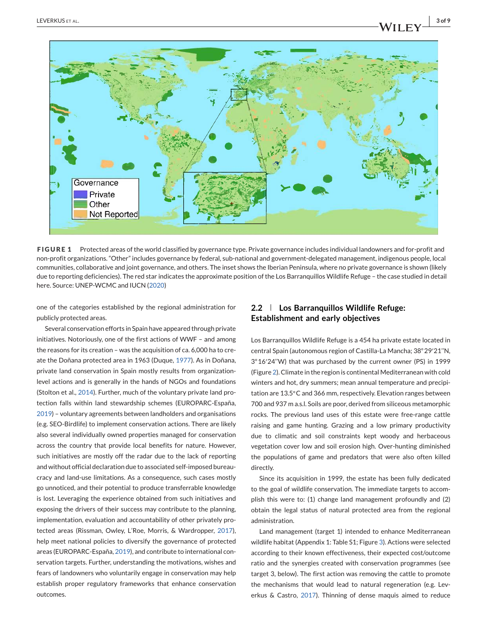<span id="page-2-0"></span>

**FIGURE 1** Protected areas of the world classified by governance type. Private governance includes individual landowners and for-profit and non-profit organizations. "Other" includes governance by federal, sub-national and government-delegated management, indigenous people, local communities, collaborative and joint governance, and others. The inset shows the Iberian Peninsula, where no private governance is shown (likely due to reporting deficiencies). The red star indicates the approximate position of the Los Barranquillos Wildlife Refuge – the case studied in detail here. Source: UNEP-WCMC and IUCN (2020)

one of the categories established by the regional administration for publicly protected areas.

Several conservation efforts in Spain have appeared through private initiatives. Notoriously, one of the first actions of WWF – and among the reasons for its creation – was the acquisition of ca. 6,000 ha to create the Doñana protected area in 1963 (Duque, 1977). As in Doñana, private land conservation in Spain mostly results from organizationlevel actions and is generally in the hands of NGOs and foundations (Stolton et al., 2014). Further, much of the voluntary private land protection falls within land stewardship schemes (EUROPARC-España, 2019) – voluntary agreements between landholders and organisations (e.g. SEO-Birdlife) to implement conservation actions. There are likely also several individually owned properties managed for conservation across the country that provide local benefits for nature. However, such initiatives are mostly off the radar due to the lack of reporting and without official declaration due to associated self-imposed bureaucracy and land-use limitations. As a consequence, such cases mostly go unnoticed, and their potential to produce transferrable knowledge is lost. Leveraging the experience obtained from such initiatives and exposing the drivers of their success may contribute to the planning, implementation, evaluation and accountability of other privately protected areas (Rissman, Owley, L'Roe, Morris, & Wardropper, 2017), help meet national policies to diversify the governance of protected areas (EUROPARC-España, 2019), and contribute to international conservation targets. Further, understanding the motivations, wishes and fears of landowners who voluntarily engage in conservation may help establish proper regulatory frameworks that enhance conservation outcomes.

# **2.2 Los Barranquillos Wildlife Refuge: Establishment and early objectives**

Los Barranquillos Wildlife Refuge is a 454 ha private estate located in central Spain (autonomous region of Castilla-La Mancha; 38◦29′21''N, 3◦16′24''W) that was purchased by the current owner (PS) in 1999 (Figure [2\)](#page-3-0). Climate in the region is continental Mediterranean with cold winters and hot, dry summers; mean annual temperature and precipitation are 13.5◦C and 366 mm, respectively. Elevation ranges between 700 and 937 m a.s.l. Soils are poor, derived from siliceous metamorphic rocks. The previous land uses of this estate were free-range cattle raising and game hunting. Grazing and a low primary productivity due to climatic and soil constraints kept woody and herbaceous vegetation cover low and soil erosion high. Over-hunting diminished the populations of game and predators that were also often killed directly.

Since its acquisition in 1999, the estate has been fully dedicated to the goal of wildlife conservation. The immediate targets to accomplish this were to: (1) change land management profoundly and (2) obtain the legal status of natural protected area from the regional administration.

Land management (target 1) intended to enhance Mediterranean wildlife habitat (Appendix 1: Table S1; Figure [3\)](#page-3-0). Actions were selected according to their known effectiveness, their expected cost/outcome ratio and the synergies created with conservation programmes (see target 3, below). The first action was removing the cattle to promote the mechanisms that would lead to natural regeneration (e.g. Leverkus & Castro, 2017). Thinning of dense maquis aimed to reduce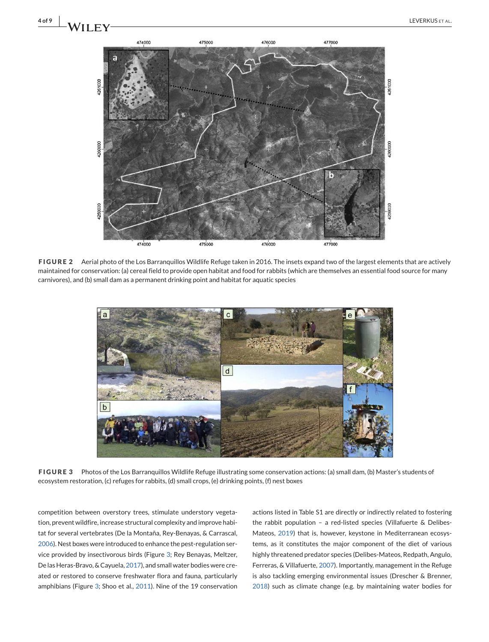<span id="page-3-0"></span>

**FIGURE 2** Aerial photo of the Los Barranquillos Wildlife Refuge taken in 2016. The insets expand two of the largest elements that are actively maintained for conservation: (a) cereal field to provide open habitat and food for rabbits (which are themselves an essential food source for many carnivores), and (b) small dam as a permanent drinking point and habitat for aquatic species



**FIGURE 3** Photos of the Los Barranquillos Wildlife Refuge illustrating some conservation actions: (a) small dam, (b) Master's students of ecosystem restoration, (c) refuges for rabbits, (d) small crops, (e) drinking points, (f) nest boxes

competition between overstory trees, stimulate understory vegetation, prevent wildfire, increase structural complexity and improve habitat for several vertebrates (De la Montaña, Rey-Benayas, & Carrascal, 2006). Nest boxes were introduced to enhance the pest-regulation service provided by insectivorous birds (Figure 3; Rey Benayas, Meltzer, De las Heras-Bravo, & Cayuela, 2017), and small water bodies were created or restored to conserve freshwater flora and fauna, particularly amphibians (Figure 3; Shoo et al., 2011). Nine of the 19 conservation

actions listed in Table S1 are directly or indirectly related to fostering the rabbit population – a red-listed species (Villafuerte & Delibes-Mateos, 2019) that is, however, keystone in Mediterranean ecosystems, as it constitutes the major component of the diet of various highly threatened predator species (Delibes-Mateos, Redpath, Angulo, Ferreras, & Villafuerte, 2007). Importantly, management in the Refuge is also tackling emerging environmental issues (Drescher & Brenner, 2018) such as climate change (e.g. by maintaining water bodies for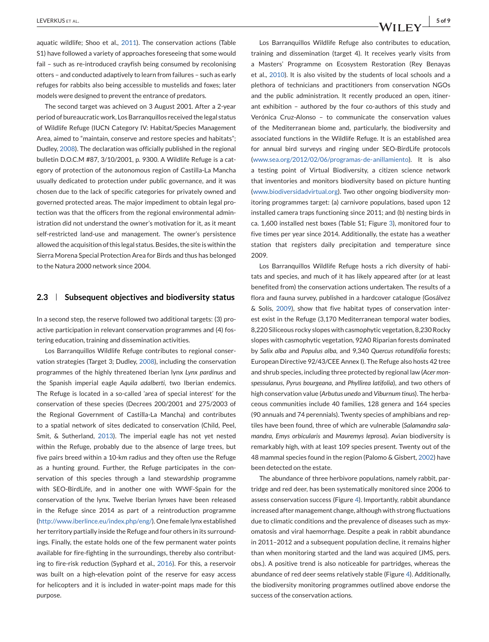aquatic wildlife; Shoo et al., 2011). The conservation actions (Table S1) have followed a variety of approaches foreseeing that some would fail – such as re-introduced crayfish being consumed by recolonising otters – and conducted adaptively to learn from failures – such as early refuges for rabbits also being accessible to mustelids and foxes; later models were designed to prevent the entrance of predators.

The second target was achieved on 3 August 2001. After a 2-year period of bureaucratic work, Los Barranquillos received the legal status of Wildlife Refuge (IUCN Category IV: Habitat/Species Management Area, aimed to "maintain, conserve and restore species and habitats"; Dudley, 2008). The declaration was officially published in the regional bulletin D.O.C.M #87, 3/10/2001, p. 9300. A Wildlife Refuge is a category of protection of the autonomous region of Castilla-La Mancha usually dedicated to protection under public governance, and it was chosen due to the lack of specific categories for privately owned and governed protected areas. The major impediment to obtain legal protection was that the officers from the regional environmental administration did not understand the owner's motivation for it, as it meant self-restricted land-use and management. The owner's persistence allowed the acquisition of this legal status. Besides, the site is within the Sierra Morena Special Protection Area for Birds and thus has belonged to the Natura 2000 network since 2004.

## **2.3 Subsequent objectives and biodiversity status**

In a second step, the reserve followed two additional targets: (3) proactive participation in relevant conservation programmes and (4) fostering education, training and dissemination activities.

Los Barranquillos Wildlife Refuge contributes to regional conservation strategies (Target 3; Dudley, 2008), including the conservation programmes of the highly threatened Iberian lynx *Lynx pardinus* and the Spanish imperial eagle *Aquila adalberti*, two Iberian endemics. The Refuge is located in a so-called 'area of special interest' for the conservation of these species (Decrees 200/2001 and 275/2003 of the Regional Government of Castilla-La Mancha) and contributes to a spatial network of sites dedicated to conservation (Child, Peel, Smit, & Sutherland, 2013). The imperial eagle has not yet nested within the Refuge, probably due to the absence of large trees, but five pairs breed within a 10-km radius and they often use the Refuge as a hunting ground. Further, the Refuge participates in the conservation of this species through a land stewardship programme with SEO-BirdLife, and in another one with WWF-Spain for the conservation of the lynx. Twelve Iberian lynxes have been released in the Refuge since 2014 as part of a reintroduction programme [\(http://www.iberlince.eu/index.php/eng/\)](http://www.iberlince.eu/index.php/eng/). One female lynx established her territory partially inside the Refuge and four others in its surroundings. Finally, the estate holds one of the few permanent water points available for fire-fighting in the surroundings, thereby also contributing to fire-risk reduction (Syphard et al., 2016). For this, a reservoir was built on a high-elevation point of the reserve for easy access for helicopters and it is included in water-point maps made for this purpose.

Los Barranquillos Wildlife Refuge also contributes to education. training and dissemination (target 4). It receives yearly visits from a Masters' Programme on Ecosystem Restoration (Rey Benayas et al., 2010). It is also visited by the students of local schools and a plethora of technicians and practitioners from conservation NGOs and the public administration. It recently produced an open, itinerant exhibition – authored by the four co-authors of this study and Verónica Cruz-Alonso – to communicate the conservation values of the Mediterranean biome and, particularly, the biodiversity and associated functions in the Wildlife Refuge. It is an established area for annual bird surveys and ringing under SEO-BirdLife protocols [\(www.sea.org/2012/02/06/programas-de-anillamiento\)](http://www.sea.org/2012/02/06/programas-de-anillamiento). It is also a testing point of Virtual Biodiversity, a citizen science network that inventories and monitors biodiversity based on picture hunting [\(www.biodiversidadvirtual.org\)](http://www.biodiversidadvirtual.org). Two other ongoing biodiversity monitoring programmes target: (a) carnivore populations, based upon 12 installed camera traps functioning since 2011; and (b) nesting birds in ca. 1,600 installed nest boxes (Table S1; Figure [3\)](#page-3-0), monitored four to five times per year since 2014. Additionally, the estate has a weather station that registers daily precipitation and temperature since 2009.

Los Barranquillos Wildlife Refuge hosts a rich diversity of habitats and species, and much of it has likely appeared after (or at least benefited from) the conservation actions undertaken. The results of a flora and fauna survey, published in a hardcover catalogue (Gosálvez & Solís, 2009), show that five habitat types of conservation interest exist in the Refuge (3,170 Mediterranean temporal water bodies, 8,220 Siliceous rocky slopes with casmophytic vegetation, 8,230 Rocky slopes with casmophytic vegetation, 92A0 Riparian forests dominated by *Salix alba* and *Populus alba*, and 9,340 *Quercus rotundifolia* forests; European Directive 92/43/CEE Annex I). The Refuge also hosts 42 tree and shrub species, including three protected by regional law (*Acer monspessulanus*, *Pyrus bourgeana*, and *Phyllirea latifolia*), and two others of high conservation value (*Arbutus unedo* and *Viburnum tinus*). The herbaceous communities include 40 families, 128 genera and 164 species (90 annuals and 74 perennials). Twenty species of amphibians and reptiles have been found, three of which are vulnerable (*Salamandra salamandra*, *Emys orbicularis* and *Mauremys leprosa*). Avian biodiversity is remarkably high, with at least 109 species present. Twenty out of the 48 mammal species found in the region (Palomo & Gisbert, 2002) have been detected on the estate.

The abundance of three herbivore populations, namely rabbit, partridge and red deer, has been systematically monitored since 2006 to assess conservation success (Figure [4\)](#page-5-0). Importantly, rabbit abundance increased after management change, although with strong fluctuations due to climatic conditions and the prevalence of diseases such as myxomatosis and viral haemorrhage. Despite a peak in rabbit abundance in 2011–2012 and a subsequent population decline, it remains higher than when monitoring started and the land was acquired (JMS, pers. obs.). A positive trend is also noticeable for partridges, whereas the abundance of red deer seems relatively stable (Figure [4\)](#page-5-0). Additionally, the biodiversity monitoring programmes outlined above endorse the success of the conservation actions.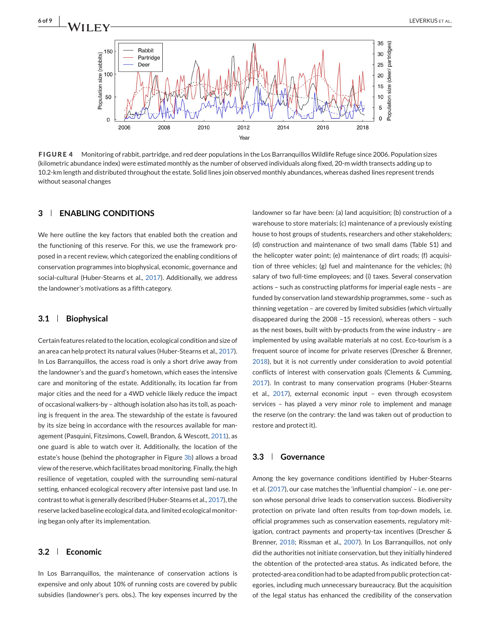<span id="page-5-0"></span>

**FIGURE 4** Monitoring of rabbit, partridge, and red deer populations in the Los Barranquillos Wildlife Refuge since 2006. Population sizes (kilometric abundance index) were estimated monthly as the number of observed individuals along fixed, 20-m width transects adding up to 10.2-km length and distributed throughout the estate. Solid lines join observed monthly abundances, whereas dashed lines represent trends without seasonal changes

# **3 ENABLING CONDITIONS**

We here outline the key factors that enabled both the creation and the functioning of this reserve. For this, we use the framework proposed in a recent review, which categorized the enabling conditions of conservation programmes into biophysical, economic, governance and social-cultural (Huber-Stearns et al., 2017). Additionally, we address the landowner's motivations as a fifth category.

# **3.1 Biophysical**

Certain features related to the location, ecological condition and size of an area can help protect its natural values (Huber-Stearns et al., 2017). In Los Barranquillos, the access road is only a short drive away from the landowner's and the guard's hometown, which eases the intensive care and monitoring of the estate. Additionally, its location far from major cities and the need for a 4WD vehicle likely reduce the impact of occasional walkers-by – although isolation also has its toll, as poaching is frequent in the area. The stewardship of the estate is favoured by its size being in accordance with the resources available for management (Pasquini, Fitzsimons, Cowell, Brandon, & Wescott, 2011), as one guard is able to watch over it. Additionally, the location of the estate's house (behind the photographer in Figure [3b\)](#page-3-0) allows a broad view of the reserve, which facilitates broad monitoring. Finally, the high resilience of vegetation, coupled with the surrounding semi-natural setting, enhanced ecological recovery after intensive past land use. In contrast to what is generally described (Huber-Stearns et al., 2017), the reserve lacked baseline ecological data, and limited ecological monitoring began only after its implementation.

# **3.2 Economic**

In Los Barranquillos, the maintenance of conservation actions is expensive and only about 10% of running costs are covered by public subsidies (landowner's pers. obs.). The key expenses incurred by the

landowner so far have been: (a) land acquisition; (b) construction of a warehouse to store materials; (c) maintenance of a previously existing house to host groups of students, researchers and other stakeholders; (d) construction and maintenance of two small dams (Table S1) and the helicopter water point; (e) maintenance of dirt roads; (f) acquisition of three vehicles; (g) fuel and maintenance for the vehicles; (h) salary of two full-time employees; and (i) taxes. Several conservation actions – such as constructing platforms for imperial eagle nests – are funded by conservation land stewardship programmes, some – such as thinning vegetation – are covered by limited subsidies (which virtually disappeared during the 2008 –15 recession), whereas others – such as the nest boxes, built with by-products from the wine industry – are implemented by using available materials at no cost. Eco-tourism is a frequent source of income for private reserves (Drescher & Brenner, 2018), but it is not currently under consideration to avoid potential conflicts of interest with conservation goals (Clements & Cumming, 2017). In contrast to many conservation programs (Huber-Stearns et al., 2017), external economic input – even through ecosystem services – has played a very minor role to implement and manage the reserve (on the contrary: the land was taken out of production to restore and protect it).

## **3.3 Governance**

Among the key governance conditions identified by Huber-Stearns et al. (2017), our case matches the 'influential champion' – i.e. one person whose personal drive leads to conservation success. Biodiversity protection on private land often results from top-down models, i.e. official programmes such as conservation easements, regulatory mitigation, contract payments and property-tax incentives (Drescher & Brenner, 2018; Rissman et al., 2007). In Los Barranquillos, not only did the authorities not initiate conservation, but they initially hindered the obtention of the protected-area status. As indicated before, the protected-area condition had to be adapted from public protection categories, including much unnecessary bureaucracy. But the acquisition of the legal status has enhanced the credibility of the conservation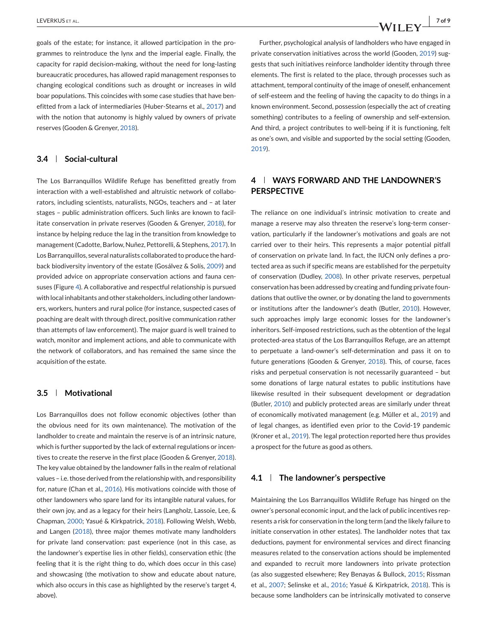goals of the estate; for instance, it allowed participation in the programmes to reintroduce the lynx and the imperial eagle. Finally, the capacity for rapid decision-making, without the need for long-lasting bureaucratic procedures, has allowed rapid management responses to changing ecological conditions such as drought or increases in wild boar populations. This coincides with some case studies that have benefitted from a lack of intermediaries (Huber-Stearns et al., 2017) and with the notion that autonomy is highly valued by owners of private reserves (Gooden & Grenyer, 2018).

# **3.4 Social-cultural**

The Los Barranquillos Wildlife Refuge has benefitted greatly from interaction with a well-established and altruistic network of collaborators, including scientists, naturalists, NGOs, teachers and – at later stages – public administration officers. Such links are known to facilitate conservation in private reserves (Gooden & Grenyer, 2018), for instance by helping reduce the lag in the transition from knowledge to management (Cadotte, Barlow, Nuñez, Pettorelli, & Stephens, 2017). In Los Barranquillos, several naturalists collaborated to produce the hardback biodiversity inventory of the estate (Gosálvez & Solís, 2009) and provided advice on appropriate conservation actions and fauna censuses (Figure [4\)](#page-5-0). A collaborative and respectful relationship is pursued with local inhabitants and other stakeholders, including other landowners, workers, hunters and rural police (for instance, suspected cases of poaching are dealt with through direct, positive communication rather than attempts of law enforcement). The major guard is well trained to watch, monitor and implement actions, and able to communicate with the network of collaborators, and has remained the same since the acquisition of the estate.

## **3.5 Motivational**

Los Barranquillos does not follow economic objectives (other than the obvious need for its own maintenance). The motivation of the landholder to create and maintain the reserve is of an intrinsic nature, which is further supported by the lack of external regulations or incentives to create the reserve in the first place (Gooden & Grenyer, 2018). The key value obtained by the landowner falls in the realm of relational values – i.e. those derived from the relationship with, and responsibility for, nature (Chan et al., 2016). His motivations coincide with those of other landowners who spare land for its intangible natural values, for their own joy, and as a legacy for their heirs (Langholz, Lassoie, Lee, & Chapman, 2000; Yasué & Kirkpatrick, 2018). Following Welsh, Webb, and Langen (2018), three major themes motivate many landholders for private land conservation: past experience (not in this case, as the landowner's expertise lies in other fields), conservation ethic (the feeling that it is the right thing to do, which does occur in this case) and showcasing (the motivation to show and educate about nature, which also occurs in this case as highlighted by the reserve's target 4, above).

Further, psychological analysis of landholders who have engaged in private conservation initiatives across the world (Gooden, 2019) suggests that such initiatives reinforce landholder identity through three elements. The first is related to the place, through processes such as attachment, temporal continuity of the image of oneself, enhancement of self-esteem and the feeling of having the capacity to do things in a known environment. Second, possession (especially the act of creating something) contributes to a feeling of ownership and self-extension. And third, a project contributes to well-being if it is functioning, felt as one's own, and visible and supported by the social setting (Gooden, 2019).

# **4 WAYS FORWARD AND THE LANDOWNER'S PERSPECTIVE**

The reliance on one individual's intrinsic motivation to create and manage a reserve may also threaten the reserve's long-term conservation, particularly if the landowner's motivations and goals are not carried over to their heirs. This represents a major potential pitfall of conservation on private land. In fact, the IUCN only defines a protected area as such if specific means are established for the perpetuity of conservation (Dudley, 2008). In other private reserves, perpetual conservation has been addressed by creating and funding private foundations that outlive the owner, or by donating the land to governments or institutions after the landowner's death (Butler, 2010). However, such approaches imply large economic losses for the landowner's inheritors. Self-imposed restrictions, such as the obtention of the legal protected-area status of the Los Barranquillos Refuge, are an attempt to perpetuate a land-owner's self-determination and pass it on to future generations (Gooden & Grenyer, 2018). This, of course, faces risks and perpetual conservation is not necessarily guaranteed – but some donations of large natural estates to public institutions have likewise resulted in their subsequent development or degradation (Butler, 2010) and publicly protected areas are similarly under threat of economically motivated management (e.g. Müller et al., 2019) and of legal changes, as identified even prior to the Covid-19 pandemic (Kroner et al., 2019). The legal protection reported here thus provides a prospect for the future as good as others.

# **4.1 The landowner's perspective**

Maintaining the Los Barranquillos Wildlife Refuge has hinged on the owner's personal economic input, and the lack of public incentives represents a risk for conservation in the long term (and the likely failure to initiate conservation in other estates). The landholder notes that tax deductions, payment for environmental services and direct financing measures related to the conservation actions should be implemented and expanded to recruit more landowners into private protection (as also suggested elsewhere; Rey Benayas & Bullock, 2015; Rissman et al., 2007; Selinske et al., 2016; Yasué & Kirkpatrick, 2018). This is because some landholders can be intrinsically motivated to conserve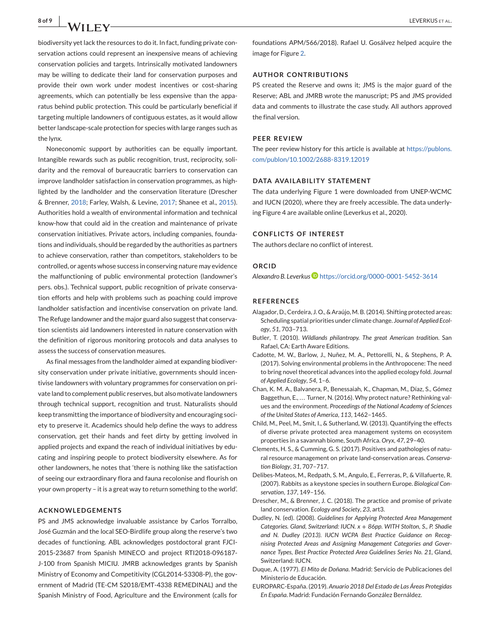biodiversity yet lack the resources to do it. In fact, funding private conservation actions could represent an inexpensive means of achieving conservation policies and targets. Intrinsically motivated landowners may be willing to dedicate their land for conservation purposes and provide their own work under modest incentives or cost-sharing agreements, which can potentially be less expensive than the apparatus behind public protection. This could be particularly beneficial if targeting multiple landowners of contiguous estates, as it would allow better landscape-scale protection for species with large ranges such as the lynx.

Noneconomic support by authorities can be equally important. Intangible rewards such as public recognition, trust, reciprocity, solidarity and the removal of bureaucratic barriers to conservation can improve landholder satisfaction in conservation programmes, as highlighted by the landholder and the conservation literature (Drescher & Brenner, 2018; Farley, Walsh, & Levine, 2017; Shanee et al., 2015). Authorities hold a wealth of environmental information and technical know-how that could aid in the creation and maintenance of private conservation initiatives. Private actors, including companies, foundations and individuals, should be regarded by the authorities as partners to achieve conservation, rather than competitors, stakeholders to be controlled, or agents whose success in conserving nature may evidence the malfunctioning of public environmental protection (landowner's pers. obs.). Technical support, public recognition of private conservation efforts and help with problems such as poaching could improve landholder satisfaction and incentivise conservation on private land. The Refuge landowner and the major guard also suggest that conservation scientists aid landowners interested in nature conservation with the definition of rigorous monitoring protocols and data analyses to assess the success of conservation measures.

As final messages from the landholder aimed at expanding biodiversity conservation under private initiative, governments should incentivise landowners with voluntary programmes for conservation on private land to complement public reserves, but also motivate landowners through technical support, recognition and trust. Naturalists should keep transmitting the importance of biodiversity and encouraging society to preserve it. Academics should help define the ways to address conservation, get their hands and feet dirty by getting involved in applied projects and expand the reach of individual initiatives by educating and inspiring people to protect biodiversity elsewhere. As for other landowners, he notes that 'there is nothing like the satisfaction of seeing our extraordinary flora and fauna recolonise and flourish on your own property – it is a great way to return something to the world'.

## **ACKNOWLEDGEMENTS**

PS and JMS acknowledge invaluable assistance by Carlos Torralbo, José Guzmán and the local SEO-Birdlife group along the reserve's two decades of functioning. ABL acknowledges postdoctoral grant FJCI-2015-23687 from Spanish MINECO and project RTI2018-096187- J-100 from Spanish MICIU. JMRB acknowledges grants by Spanish Ministry of Economy and Competitivity (CGL2014-53308-P), the government of Madrid (TE-CM S2018/EMT-4338 REMEDINAL) and the Spanish Ministry of Food, Agriculture and the Environment (calls for

foundations APM/566/2018). Rafael U. Gosálvez helped acquire the image for Figure [2.](#page-3-0)

#### **AUTHOR CONTRIBUTIONS**

PS created the Reserve and owns it; JMS is the major guard of the Reserve; ABL and JMRB wrote the manuscript; PS and JMS provided data and comments to illustrate the case study. All authors approved the final version.

#### **PEER REVIEW**

The peer review history for this article is available at [https://publons.](https://publons.com/publon/10.1002/2688-8319.12019) [com/publon/10.1002/2688-8319.12019](https://publons.com/publon/10.1002/2688-8319.12019)

#### **DATA AVAILABILITY STATEMENT**

The data underlying Figure 1 were downloaded from UNEP-WCMC and IUCN (2020), where they are freely accessible. The data underlying Figure 4 are available online (Leverkus et al., 2020).

#### **CONFLICTS OF INTEREST**

The authors declare no conflict of interest.

#### **ORCID**

*Alexandro B. Leverku[s](https://orcid.org/0000-0001-5452-3614)* <https://orcid.org/0000-0001-5452-3614>

#### **REFERENCES**

- Alagador, D., Cerdeira, J. O., & Araújo, M. B. (2014). Shifting protected areas: Scheduling spatial priorities under climate change. *Journal of Applied Ecology*, *51*, 703–713.
- Butler, T. (2010). *Wildlands philantropy. The great American tradition*. San Rafael, CA: Earth Aware Editions.
- Cadotte, M. W., Barlow, J., Nuñez, M. A., Pettorelli, N., & Stephens, P. A. (2017). Solving environmental problems in the Anthropocene: The need to bring novel theoretical advances into the applied ecology fold. *Journal of Applied Ecology*, *54*, 1–6.
- Chan, K. M. A., Balvanera, P., Benessaiah, K., Chapman, M., Díaz, S., Gómez Baggethun, E., ... Turner, N. (2016). Why protect nature? Rethinking values and the environment. *Proceedings of the National Academy of Sciences of the United States of America*, *113*, 1462–1465.
- Child, M., Peel, M., Smit, I., & Sutherland, W. (2013). Quantifying the effects of diverse private protected area management systems on ecosystem properties in a savannah biome, South Africa. *Oryx*, *47*, 29–40.
- Clements, H. S., & Cumming, G. S. (2017). Positives and pathologies of natural resource management on private land-conservation areas. *Conservation Biology*, *31*, 707–717.
- Delibes-Mateos, M., Redpath, S. M., Angulo, E., Ferreras, P., & Villafuerte, R. (2007). Rabbits as a keystone species in southern Europe. *Biological Conservation*, *137*, 149–156.
- Drescher, M., & Brenner, J. C. (2018). The practice and promise of private land conservation. *Ecology and Society*, *23*, art3.
- Dudley, N. (ed). (2008). *Guidelines for Applying Protected Area Management Categories. Gland, Switzerland: IUCN. x* + *86pp. WITH Stolton, S., P. Shadie and N. Dudley (2013). IUCN WCPA Best Practice Guidance on Recognising Protected Areas and Assigning Management Categories and Governance Types, Best Practice Protected Area Guidelines Series No. 21*, Gland, Switzerland: IUCN.
- Duque, A. (1977). *El Mito de Doñana*. Madrid: Servicio de Publicaciones del Ministerio de Educación.
- EUROPARC-España. (2019). *Anuario 2018 Del Estado de Las Áreas Protegidas En España*. Madrid: Fundación Fernando González Bernáldez.